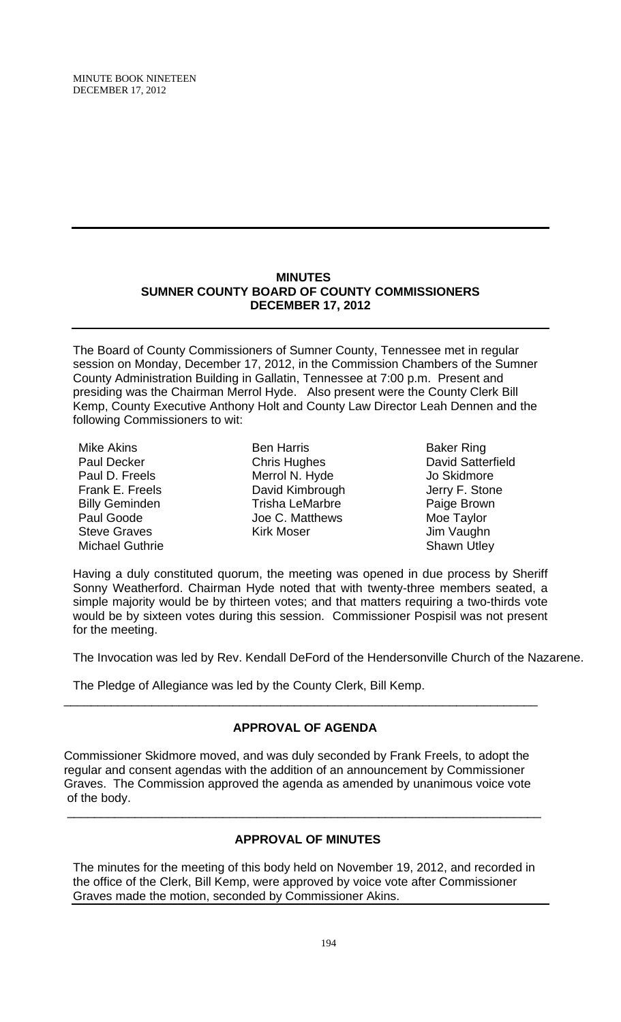MINUTE BOOK NINETEEN DECEMBER 17, 2012

## **MINUTES SUMNER COUNTY BOARD OF COUNTY COMMISSIONERS DECEMBER 17, 2012**

The Board of County Commissioners of Sumner County, Tennessee met in regular session on Monday, December 17, 2012, in the Commission Chambers of the Sumner County Administration Building in Gallatin, Tennessee at 7:00 p.m. Present and presiding was the Chairman Merrol Hyde. Also present were the County Clerk Bill Kemp, County Executive Anthony Holt and County Law Director Leah Dennen and the following Commissioners to wit:

Mike Akins Paul Decker Paul D. Freels Frank E. Freels Billy Geminden Paul Goode Steve Graves Michael Guthrie

- Ben Harris Chris Hughes Merrol N. Hyde David Kimbrough Trisha LeMarbre Joe C. Matthews Kirk Moser
- Baker Ring David Satterfield Jo Skidmore Jerry F. Stone Paige Brown Moe Taylor Jim Vaughn Shawn Utley

Having a duly constituted quorum, the meeting was opened in due process by Sheriff Sonny Weatherford. Chairman Hyde noted that with twenty-three members seated, a simple majority would be by thirteen votes; and that matters requiring a two-thirds vote would be by sixteen votes during this session. Commissioner Pospisil was not present for the meeting.

The Invocation was led by Rev. Kendall DeFord of the Hendersonville Church of the Nazarene.

The Pledge of Allegiance was led by the County Clerk, Bill Kemp.

# **APPROVAL OF AGENDA**

\_\_\_\_\_\_\_\_\_\_\_\_\_\_\_\_\_\_\_\_\_\_\_\_\_\_\_\_\_\_\_\_\_\_\_\_\_\_\_\_\_\_\_\_\_\_\_\_\_\_\_\_\_\_\_\_\_\_\_\_\_\_\_\_\_\_\_\_\_\_

Commissioner Skidmore moved, and was duly seconded by Frank Freels, to adopt the regular and consent agendas with the addition of an announcement by Commissioner Graves. The Commission approved the agenda as amended by unanimous voice vote of the body.

# **APPROVAL OF MINUTES**

\_\_\_\_\_\_\_\_\_\_\_\_\_\_\_\_\_\_\_\_\_\_\_\_\_\_\_\_\_\_\_\_\_\_\_\_\_\_\_\_\_\_\_\_\_\_\_\_\_\_\_\_\_\_\_\_\_\_\_\_\_\_\_\_\_\_\_\_\_\_

The minutes for the meeting of this body held on November 19, 2012, and recorded in the office of the Clerk, Bill Kemp, were approved by voice vote after Commissioner Graves made the motion, seconded by Commissioner Akins.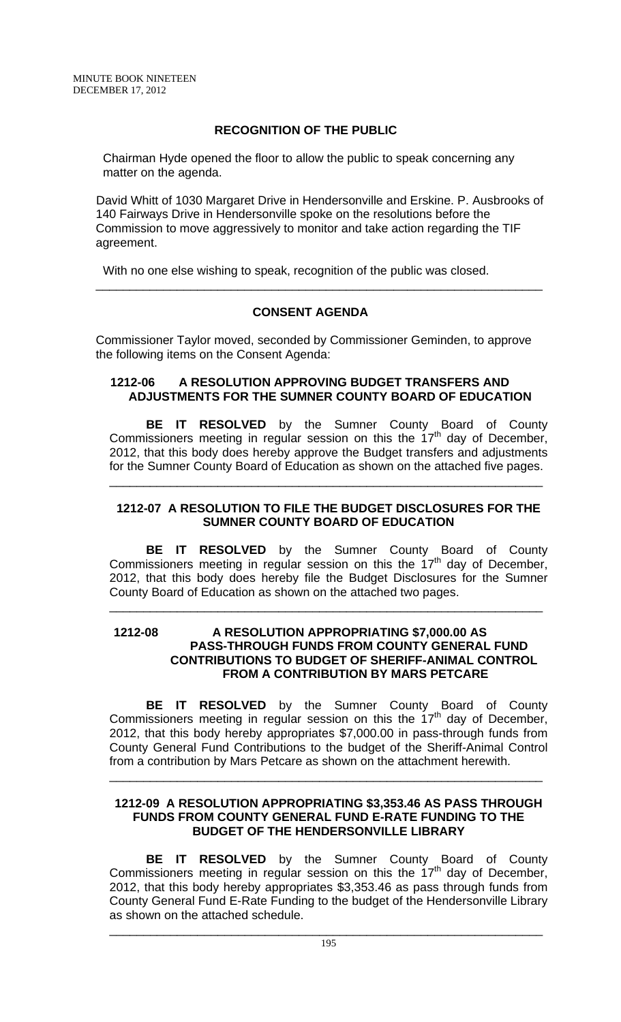# **RECOGNITION OF THE PUBLIC**

 Chairman Hyde opened the floor to allow the public to speak concerning any matter on the agenda.

David Whitt of 1030 Margaret Drive in Hendersonville and Erskine. P. Ausbrooks of 140 Fairways Drive in Hendersonville spoke on the resolutions before the Commission to move aggressively to monitor and take action regarding the TIF agreement.

\_\_\_\_\_\_\_\_\_\_\_\_\_\_\_\_\_\_\_\_\_\_\_\_\_\_\_\_\_\_\_\_\_\_\_\_\_\_\_\_\_\_\_\_\_\_\_\_\_\_\_\_\_\_\_\_\_\_\_\_\_\_\_\_\_\_

With no one else wishing to speak, recognition of the public was closed.

# **CONSENT AGENDA**

Commissioner Taylor moved, seconded by Commissioner Geminden, to approve the following items on the Consent Agenda:

## **1212-06 A RESOLUTION APPROVING BUDGET TRANSFERS AND ADJUSTMENTS FOR THE SUMNER COUNTY BOARD OF EDUCATION**

**BE IT RESOLVED** by the Sumner County Board of County Commissioners meeting in regular session on this the  $17<sup>th</sup>$  day of December, 2012, that this body does hereby approve the Budget transfers and adjustments for the Sumner County Board of Education as shown on the attached five pages.

## **1212-07 A RESOLUTION TO FILE THE BUDGET DISCLOSURES FOR THE SUMNER COUNTY BOARD OF EDUCATION**

\_\_\_\_\_\_\_\_\_\_\_\_\_\_\_\_\_\_\_\_\_\_\_\_\_\_\_\_\_\_\_\_\_\_\_\_\_\_\_\_\_\_\_\_\_\_\_\_\_\_\_\_\_\_\_\_\_\_\_\_\_\_\_\_

**BE IT RESOLVED** by the Sumner County Board of County Commissioners meeting in regular session on this the  $17<sup>th</sup>$  day of December, 2012, that this body does hereby file the Budget Disclosures for the Sumner County Board of Education as shown on the attached two pages.

\_\_\_\_\_\_\_\_\_\_\_\_\_\_\_\_\_\_\_\_\_\_\_\_\_\_\_\_\_\_\_\_\_\_\_\_\_\_\_\_\_\_\_\_\_\_\_\_\_\_\_\_\_\_\_\_\_\_\_\_\_\_\_\_

## **1212-08 A RESOLUTION APPROPRIATING \$7,000.00 AS PASS-THROUGH FUNDS FROM COUNTY GENERAL FUND CONTRIBUTIONS TO BUDGET OF SHERIFF-ANIMAL CONTROL FROM A CONTRIBUTION BY MARS PETCARE**

**BE IT RESOLVED** by the Sumner County Board of County Commissioners meeting in regular session on this the  $17<sup>th</sup>$  day of December, 2012, that this body hereby appropriates \$7,000.00 in pass-through funds from County General Fund Contributions to the budget of the Sheriff-Animal Control from a contribution by Mars Petcare as shown on the attachment herewith.

## **1212-09 A RESOLUTION APPROPRIATING \$3,353.46 AS PASS THROUGH FUNDS FROM COUNTY GENERAL FUND E-RATE FUNDING TO THE BUDGET OF THE HENDERSONVILLE LIBRARY**

\_\_\_\_\_\_\_\_\_\_\_\_\_\_\_\_\_\_\_\_\_\_\_\_\_\_\_\_\_\_\_\_\_\_\_\_\_\_\_\_\_\_\_\_\_\_\_\_\_\_\_\_\_\_\_\_\_\_\_\_\_\_\_\_

 **BE IT RESOLVED** by the Sumner County Board of County Commissioners meeting in regular session on this the  $17<sup>th</sup>$  day of December, 2012, that this body hereby appropriates \$3,353.46 as pass through funds from County General Fund E-Rate Funding to the budget of the Hendersonville Library as shown on the attached schedule.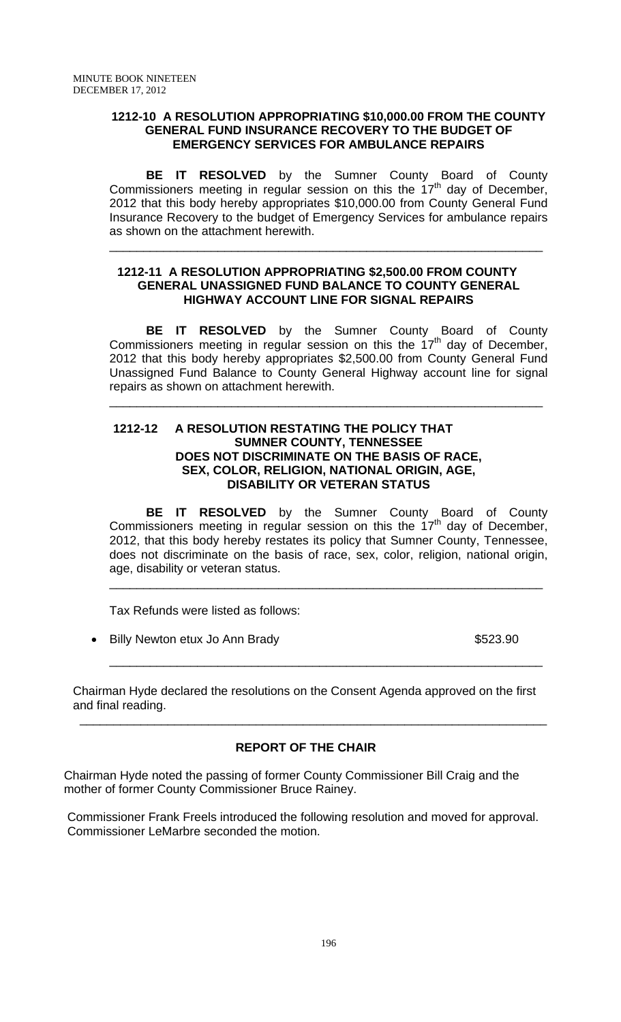## **1212-10 A RESOLUTION APPROPRIATING \$10,000.00 FROM THE COUNTY GENERAL FUND INSURANCE RECOVERY TO THE BUDGET OF EMERGENCY SERVICES FOR AMBULANCE REPAIRS**

 **BE IT RESOLVED** by the Sumner County Board of County Commissioners meeting in regular session on this the 17th day of December, 2012 that this body hereby appropriates \$10,000.00 from County General Fund Insurance Recovery to the budget of Emergency Services for ambulance repairs as shown on the attachment herewith.

\_\_\_\_\_\_\_\_\_\_\_\_\_\_\_\_\_\_\_\_\_\_\_\_\_\_\_\_\_\_\_\_\_\_\_\_\_\_\_\_\_\_\_\_\_\_\_\_\_\_\_\_\_\_\_\_\_\_\_\_\_\_\_\_

## **1212-11 A RESOLUTION APPROPRIATING \$2,500.00 FROM COUNTY GENERAL UNASSIGNED FUND BALANCE TO COUNTY GENERAL HIGHWAY ACCOUNT LINE FOR SIGNAL REPAIRS**

 **BE IT RESOLVED** by the Sumner County Board of County Commissioners meeting in regular session on this the  $17<sup>th</sup>$  day of December, 2012 that this body hereby appropriates \$2,500.00 from County General Fund Unassigned Fund Balance to County General Highway account line for signal repairs as shown on attachment herewith.

\_\_\_\_\_\_\_\_\_\_\_\_\_\_\_\_\_\_\_\_\_\_\_\_\_\_\_\_\_\_\_\_\_\_\_\_\_\_\_\_\_\_\_\_\_\_\_\_\_\_\_\_\_\_\_\_\_\_\_\_\_\_\_\_

## **1212-12 A RESOLUTION RESTATING THE POLICY THAT SUMNER COUNTY, TENNESSEE DOES NOT DISCRIMINATE ON THE BASIS OF RACE, SEX, COLOR, RELIGION, NATIONAL ORIGIN, AGE, DISABILITY OR VETERAN STATUS**

**BE IT RESOLVED** by the Sumner County Board of County Commissioners meeting in regular session on this the  $17<sup>th</sup>$  day of December, 2012, that this body hereby restates its policy that Sumner County, Tennessee, does not discriminate on the basis of race, sex, color, religion, national origin, age, disability or veteran status.

\_\_\_\_\_\_\_\_\_\_\_\_\_\_\_\_\_\_\_\_\_\_\_\_\_\_\_\_\_\_\_\_\_\_\_\_\_\_\_\_\_\_\_\_\_\_\_\_\_\_\_\_\_\_\_\_\_\_\_\_\_\_\_\_

\_\_\_\_\_\_\_\_\_\_\_\_\_\_\_\_\_\_\_\_\_\_\_\_\_\_\_\_\_\_\_\_\_\_\_\_\_\_\_\_\_\_\_\_\_\_\_\_\_\_\_\_\_\_\_\_\_\_\_\_\_\_\_\_

Tax Refunds were listed as follows:

• Billy Newton etux Jo Ann Brady **\$523.90** 

Chairman Hyde declared the resolutions on the Consent Agenda approved on the first and final reading.

# **REPORT OF THE CHAIR**

 $\overline{\phantom{a}}$  , and the contribution of the contribution of the contribution of the contribution of the contribution of  $\overline{\phantom{a}}$ 

Chairman Hyde noted the passing of former County Commissioner Bill Craig and the mother of former County Commissioner Bruce Rainey.

Commissioner Frank Freels introduced the following resolution and moved for approval. Commissioner LeMarbre seconded the motion.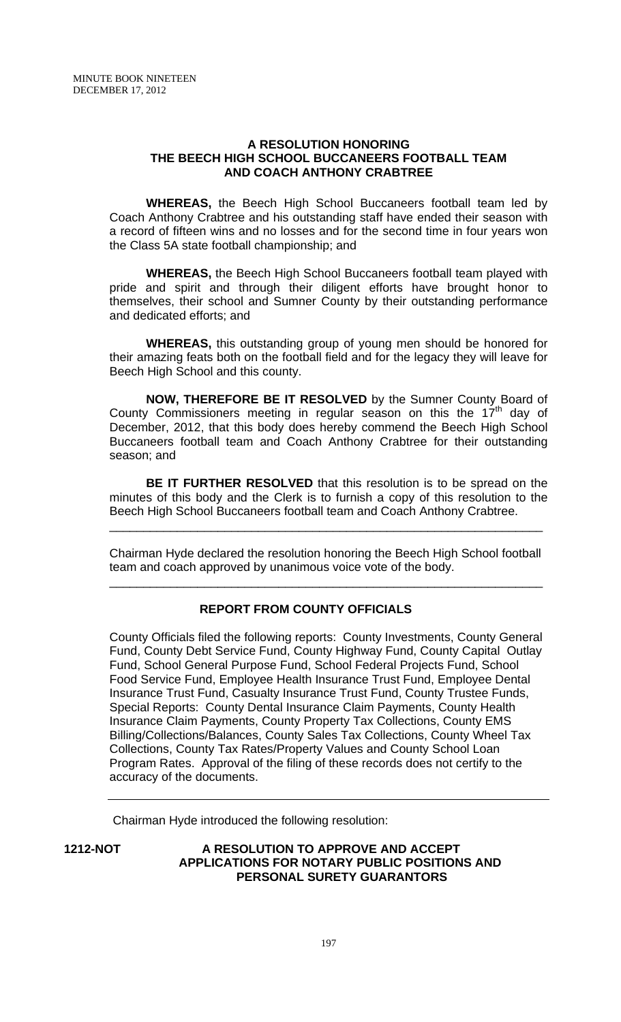## **A RESOLUTION HONORING THE BEECH HIGH SCHOOL BUCCANEERS FOOTBALL TEAM AND COACH ANTHONY CRABTREE**

 **WHEREAS,** the Beech High School Buccaneers football team led by Coach Anthony Crabtree and his outstanding staff have ended their season with a record of fifteen wins and no losses and for the second time in four years won the Class 5A state football championship; and

**WHEREAS,** the Beech High School Buccaneers football team played with pride and spirit and through their diligent efforts have brought honor to themselves, their school and Sumner County by their outstanding performance and dedicated efforts; and

 **WHEREAS,** this outstanding group of young men should be honored for their amazing feats both on the football field and for the legacy they will leave for Beech High School and this county.

**NOW, THEREFORE BE IT RESOLVED** by the Sumner County Board of County Commissioners meeting in regular season on this the  $17<sup>th</sup>$  day of December, 2012, that this body does hereby commend the Beech High School Buccaneers football team and Coach Anthony Crabtree for their outstanding season; and

**BE IT FURTHER RESOLVED** that this resolution is to be spread on the minutes of this body and the Clerk is to furnish a copy of this resolution to the Beech High School Buccaneers football team and Coach Anthony Crabtree.

Chairman Hyde declared the resolution honoring the Beech High School football team and coach approved by unanimous voice vote of the body.

\_\_\_\_\_\_\_\_\_\_\_\_\_\_\_\_\_\_\_\_\_\_\_\_\_\_\_\_\_\_\_\_\_\_\_\_\_\_\_\_\_\_\_\_\_\_\_\_\_\_\_\_\_\_\_\_\_\_\_\_\_\_\_\_

\_\_\_\_\_\_\_\_\_\_\_\_\_\_\_\_\_\_\_\_\_\_\_\_\_\_\_\_\_\_\_\_\_\_\_\_\_\_\_\_\_\_\_\_\_\_\_\_\_\_\_\_\_\_\_\_\_\_\_\_\_\_\_\_

# **REPORT FROM COUNTY OFFICIALS**

County Officials filed the following reports: County Investments, County General Fund, County Debt Service Fund, County Highway Fund, County Capital Outlay Fund, School General Purpose Fund, School Federal Projects Fund, School Food Service Fund, Employee Health Insurance Trust Fund, Employee Dental Insurance Trust Fund, Casualty Insurance Trust Fund, County Trustee Funds, Special Reports: County Dental Insurance Claim Payments, County Health Insurance Claim Payments, County Property Tax Collections, County EMS Billing/Collections/Balances, County Sales Tax Collections, County Wheel Tax Collections, County Tax Rates/Property Values and County School Loan Program Rates. Approval of the filing of these records does not certify to the accuracy of the documents.

Chairman Hyde introduced the following resolution:

## **1212-NOT A RESOLUTION TO APPROVE AND ACCEPT APPLICATIONS FOR NOTARY PUBLIC POSITIONS AND PERSONAL SURETY GUARANTORS**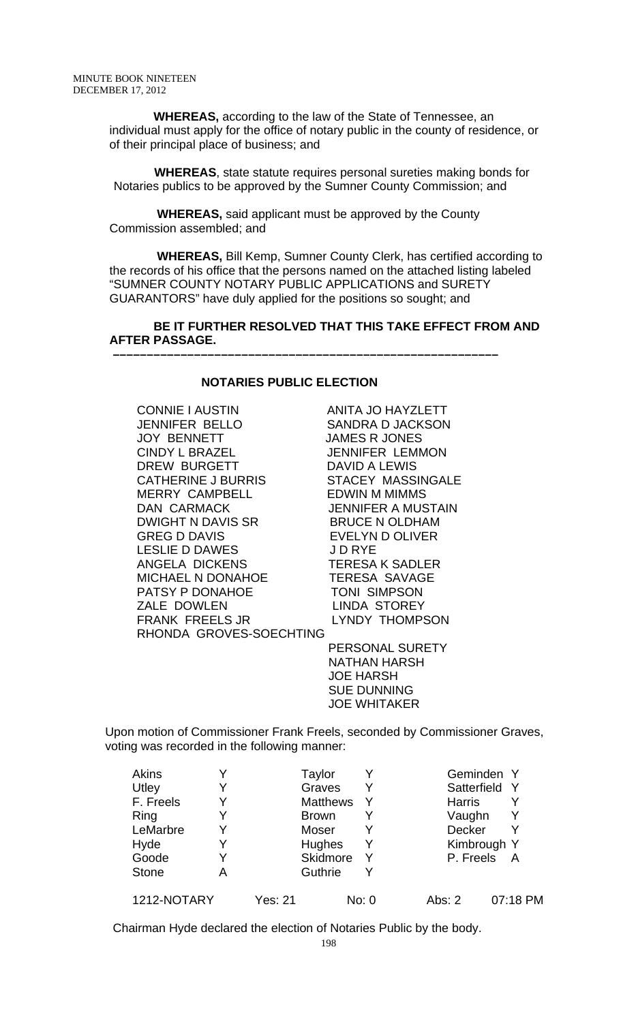**WHEREAS,** according to the law of the State of Tennessee, an individual must apply for the office of notary public in the county of residence, or of their principal place of business; and

 **WHEREAS**, state statute requires personal sureties making bonds for Notaries publics to be approved by the Sumner County Commission; and

 **WHEREAS,** said applicant must be approved by the County Commission assembled; and

 **WHEREAS,** Bill Kemp, Sumner County Clerk, has certified according to the records of his office that the persons named on the attached listing labeled "SUMNER COUNTY NOTARY PUBLIC APPLICATIONS and SURETY GUARANTORS" have duly applied for the positions so sought; and

### **BE IT FURTHER RESOLVED THAT THIS TAKE EFFECT FROM AND AFTER PASSAGE.**

### **NOTARIES PUBLIC ELECTION**

 **–––––––––––––––––––––––––––––––––––––––––––––––––––––––––**

CONNIE I AUSTIN ANITA JO HAYZLETT JENNIFER BELLO SANDRA D JACKSON JOY BENNETT JAMES R JONES CINDY L BRAZEL JENNIFER LEMMON DREW BURGETT DAVID A LEWIS CATHERINE J BURRIS STACEY MASSINGALE MERRY CAMPBELL EDWIN M MIMMS DAN CARMACK JENNIFER A MUSTAIN DWIGHT N DAVIS SR BRUCE N OLDHAM GREG D DAVIS EVELYN D OLIVER LESLIE D DAWES ANGELA DICKENS TERESA K SADLER MICHAEL N DONAHOE TERESA SAVAGE PATSY P DONAHOE TONI SIMPSON ZALE DOWLEN LINDA STOREY FRANK FREELS JR LYNDY THOMPSON RHONDA GROVES-SOECHTING

 PERSONAL SURETY NATHAN HARSH JOE HARSH SUE DUNNING JOE WHITAKER

Upon motion of Commissioner Frank Freels, seconded by Commissioner Graves, voting was recorded in the following manner:

| Akins        |   |         | Taylor          |   |               | Geminden Y    |
|--------------|---|---------|-----------------|---|---------------|---------------|
| Utley        | Y |         | Graves          |   |               | Satterfield Y |
| F. Freels    | Y |         | <b>Matthews</b> |   | <b>Harris</b> |               |
| Ring         |   |         | <b>Brown</b>    |   | Vaughn        | Y             |
| LeMarbre     | Y |         | Moser           |   | Decker        | Y             |
| Hyde         | Y |         | <b>Hughes</b>   | Y |               | Kimbrough Y   |
| Goode        | Y |         | Skidmore        |   | P. Freels     | A             |
| <b>Stone</b> | A |         | Guthrie         |   |               |               |
| 1212-NOTARY  |   | Yes: 21 | No: 0           |   | Abs: 2        | 07:18 PM      |

Chairman Hyde declared the election of Notaries Public by the body.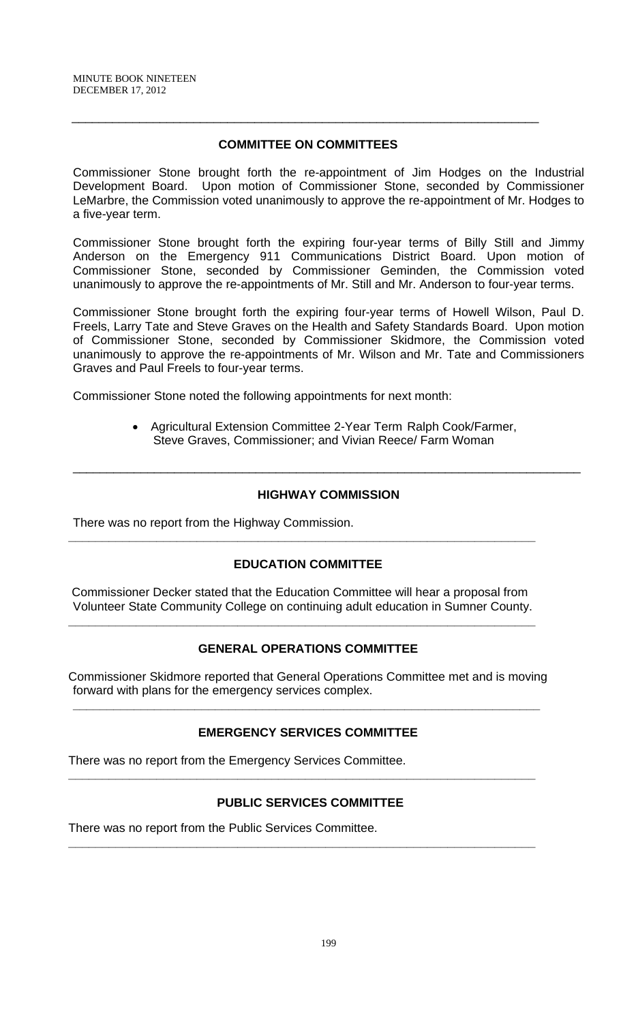# **COMMITTEE ON COMMITTEES**

\_\_\_\_\_\_\_\_\_\_\_\_\_\_\_\_\_\_\_\_\_\_\_\_\_\_\_\_\_\_\_\_\_\_\_\_\_\_\_\_\_\_\_\_\_\_\_\_\_\_\_\_\_\_\_\_\_\_\_\_\_\_\_\_\_\_\_\_\_

Commissioner Stone brought forth the re-appointment of Jim Hodges on the Industrial Development Board. Upon motion of Commissioner Stone, seconded by Commissioner LeMarbre, the Commission voted unanimously to approve the re-appointment of Mr. Hodges to a five-year term.

Commissioner Stone brought forth the expiring four-year terms of Billy Still and Jimmy Anderson on the Emergency 911 Communications District Board. Upon motion of Commissioner Stone, seconded by Commissioner Geminden, the Commission voted unanimously to approve the re-appointments of Mr. Still and Mr. Anderson to four-year terms.

Commissioner Stone brought forth the expiring four-year terms of Howell Wilson, Paul D. Freels, Larry Tate and Steve Graves on the Health and Safety Standards Board. Upon motion of Commissioner Stone, seconded by Commissioner Skidmore, the Commission voted unanimously to approve the re-appointments of Mr. Wilson and Mr. Tate and Commissioners Graves and Paul Freels to four-year terms.

Commissioner Stone noted the following appointments for next month:

• Agricultural Extension Committee 2-Year Term Ralph Cook/Farmer, Steve Graves, Commissioner; and Vivian Reece/ Farm Woman

## **HIGHWAY COMMISSION**

\_\_\_\_\_\_\_\_\_\_\_\_\_\_\_\_\_\_\_\_\_\_\_\_\_\_\_\_\_\_\_\_\_\_\_\_\_\_\_\_\_\_\_\_\_\_\_\_\_\_\_\_\_\_\_\_\_\_\_\_\_\_\_\_\_\_\_\_\_\_\_\_\_\_\_

There was no report from the Highway Commission.

### **EDUCATION COMMITTEE**

**\_\_\_\_\_\_\_\_\_\_\_\_\_\_\_\_\_\_\_\_\_\_\_\_\_\_\_\_\_\_\_\_\_\_\_\_\_\_\_\_\_\_\_\_\_\_\_\_\_\_\_\_\_\_\_\_\_\_\_\_\_\_\_\_\_\_\_\_\_** 

 Commissioner Decker stated that the Education Committee will hear a proposal from Volunteer State Community College on continuing adult education in Sumner County.

**\_\_\_\_\_\_\_\_\_\_\_\_\_\_\_\_\_\_\_\_\_\_\_\_\_\_\_\_\_\_\_\_\_\_\_\_\_\_\_\_\_\_\_\_\_\_\_\_\_\_\_\_\_\_\_\_\_\_\_\_\_\_\_\_\_\_\_\_\_** 

### **GENERAL OPERATIONS COMMITTEE**

Commissioner Skidmore reported that General Operations Committee met and is moving forward with plans for the emergency services complex.

**\_\_\_\_\_\_\_\_\_\_\_\_\_\_\_\_\_\_\_\_\_\_\_\_\_\_\_\_\_\_\_\_\_\_\_\_\_\_\_\_\_\_\_\_\_\_\_\_\_\_\_\_\_\_\_\_\_\_\_\_\_\_\_\_\_\_\_\_\_** 

### **EMERGENCY SERVICES COMMITTEE**

There was no report from the Emergency Services Committee.

## **PUBLIC SERVICES COMMITTEE**

**\_\_\_\_\_\_\_\_\_\_\_\_\_\_\_\_\_\_\_\_\_\_\_\_\_\_\_\_\_\_\_\_\_\_\_\_\_\_\_\_\_\_\_\_\_\_\_\_\_\_\_\_\_\_\_\_\_\_\_\_\_\_\_\_\_\_\_\_\_** 

**\_\_\_\_\_\_\_\_\_\_\_\_\_\_\_\_\_\_\_\_\_\_\_\_\_\_\_\_\_\_\_\_\_\_\_\_\_\_\_\_\_\_\_\_\_\_\_\_\_\_\_\_\_\_\_\_\_\_\_\_\_\_\_\_\_\_\_\_\_** 

There was no report from the Public Services Committee.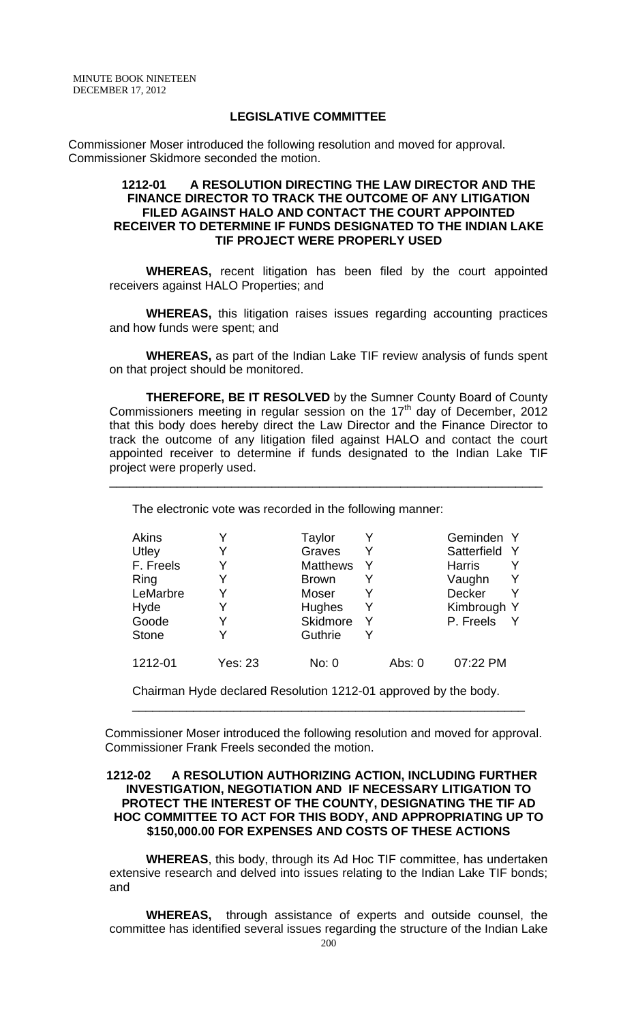MINUTE BOOK NINETEEN DECEMBER 17, 2012

### **LEGISLATIVE COMMITTEE**

Commissioner Moser introduced the following resolution and moved for approval. Commissioner Skidmore seconded the motion.

#### **1212-01 A RESOLUTION DIRECTING THE LAW DIRECTOR AND THE FINANCE DIRECTOR TO TRACK THE OUTCOME OF ANY LITIGATION FILED AGAINST HALO AND CONTACT THE COURT APPOINTED RECEIVER TO DETERMINE IF FUNDS DESIGNATED TO THE INDIAN LAKE TIF PROJECT WERE PROPERLY USED**

**WHEREAS,** recent litigation has been filed by the court appointed receivers against HALO Properties; and

**WHEREAS,** this litigation raises issues regarding accounting practices and how funds were spent; and

**WHEREAS,** as part of the Indian Lake TIF review analysis of funds spent on that project should be monitored.

**THEREFORE, BE IT RESOLVED** by the Sumner County Board of County Commissioners meeting in regular session on the  $17<sup>th</sup>$  day of December, 2012 that this body does hereby direct the Law Director and the Finance Director to track the outcome of any litigation filed against HALO and contact the court appointed receiver to determine if funds designated to the Indian Lake TIF project were properly used.

The electronic vote was recorded in the following manner:

\_\_\_\_\_\_\_\_\_\_\_\_\_\_\_\_\_\_\_\_\_\_\_\_\_\_\_\_\_\_\_\_\_\_\_\_\_\_\_\_\_\_\_\_\_\_\_\_\_\_\_\_\_\_\_\_\_\_\_\_\_\_\_\_

| <b>Akins</b> |                | Taylor          |          | Geminden Y    |  |
|--------------|----------------|-----------------|----------|---------------|--|
| Utley        |                | Graves          |          | Satterfield   |  |
| F. Freels    |                | <b>Matthews</b> |          | <b>Harris</b> |  |
| Ring         |                | <b>Brown</b>    |          | Vaughn        |  |
| LeMarbre     |                | Moser           |          | <b>Decker</b> |  |
| Hyde         |                | <b>Hughes</b>   |          | Kimbrough Y   |  |
| Goode        |                | <b>Skidmore</b> |          | P. Freels     |  |
| <b>Stone</b> |                | Guthrie         |          |               |  |
| 1212-01      | <b>Yes: 23</b> | No: 0           | Abs: $0$ | 07:22 PM      |  |

Chairman Hyde declared Resolution 1212-01 approved by the body.

Commissioner Moser introduced the following resolution and moved for approval. Commissioner Frank Freels seconded the motion.

\_\_\_\_\_\_\_\_\_\_\_\_\_\_\_\_\_\_\_\_\_\_\_\_\_\_\_\_\_\_\_\_\_\_\_\_\_\_\_\_\_\_\_\_\_\_\_\_\_\_\_\_\_\_\_\_\_\_

### **1212-02 A RESOLUTION AUTHORIZING ACTION, INCLUDING FURTHER INVESTIGATION, NEGOTIATION AND IF NECESSARY LITIGATION TO PROTECT THE INTEREST OF THE COUNTY, DESIGNATING THE TIF AD HOC COMMITTEE TO ACT FOR THIS BODY, AND APPROPRIATING UP TO \$150,000.00 FOR EXPENSES AND COSTS OF THESE ACTIONS**

**WHEREAS**, this body, through its Ad Hoc TIF committee, has undertaken extensive research and delved into issues relating to the Indian Lake TIF bonds; and

**WHEREAS,** through assistance of experts and outside counsel, the committee has identified several issues regarding the structure of the Indian Lake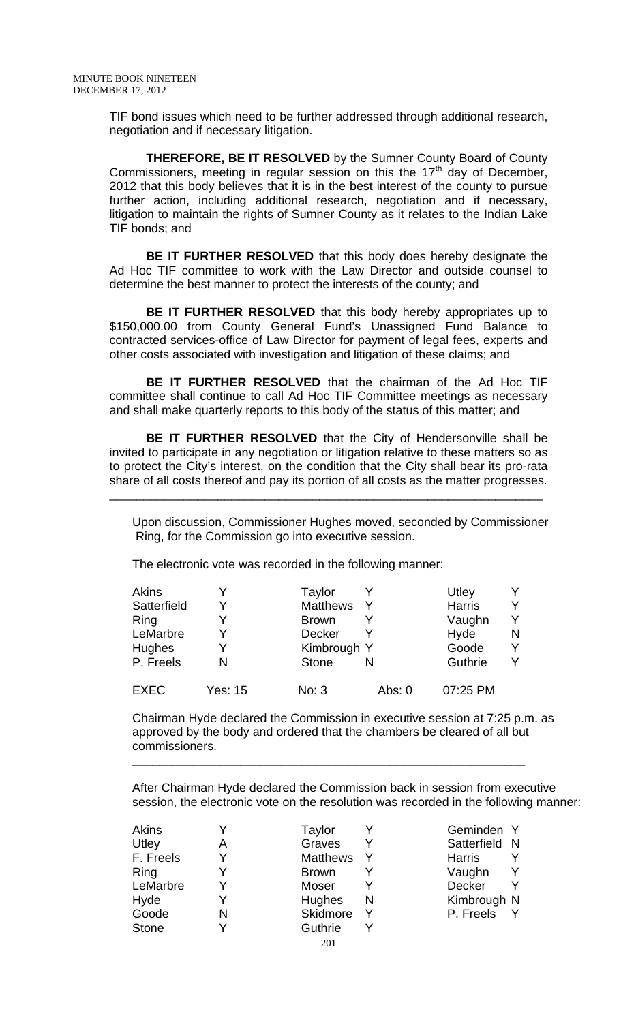TIF bond issues which need to be further addressed through additional research, negotiation and if necessary litigation.

**THEREFORE, BE IT RESOLVED** by the Sumner County Board of County Commissioners, meeting in regular session on this the  $17<sup>th</sup>$  day of December, 2012 that this body believes that it is in the best interest of the county to pursue further action, including additional research, negotiation and if necessary, litigation to maintain the rights of Sumner County as it relates to the Indian Lake TIF bonds; and

**BE IT FURTHER RESOLVED** that this body does hereby designate the Ad Hoc TIF committee to work with the Law Director and outside counsel to determine the best manner to protect the interests of the county; and

**BE IT FURTHER RESOLVED** that this body hereby appropriates up to \$150,000.00 from County General Fund's Unassigned Fund Balance to contracted services-office of Law Director for payment of legal fees, experts and other costs associated with investigation and litigation of these claims; and

**BE IT FURTHER RESOLVED** that the chairman of the Ad Hoc TIF committee shall continue to call Ad Hoc TIF Committee meetings as necessary and shall make quarterly reports to this body of the status of this matter; and

**BE IT FURTHER RESOLVED** that the City of Hendersonville shall be invited to participate in any negotiation or litigation relative to these matters so as to protect the City's interest, on the condition that the City shall bear its pro-rata share of all costs thereof and pay its portion of all costs as the matter progresses.

\_\_\_\_\_\_\_\_\_\_\_\_\_\_\_\_\_\_\_\_\_\_\_\_\_\_\_\_\_\_\_\_\_\_\_\_\_\_\_\_\_\_\_\_\_\_\_\_\_\_\_\_\_\_\_\_\_\_\_\_\_\_\_\_

Upon discussion, Commissioner Hughes moved, seconded by Commissioner Ring, for the Commission go into executive session.

The electronic vote was recorded in the following manner:

| Akins         |         | Taylor          |          | Utley         |   |
|---------------|---------|-----------------|----------|---------------|---|
| Satterfield   |         | <b>Matthews</b> |          | <b>Harris</b> | v |
| Ring          |         | <b>Brown</b>    |          | Vaughn        |   |
| LeMarbre      |         | <b>Decker</b>   |          | Hyde          | N |
| <b>Hughes</b> |         | Kimbrough Y     |          | Goode         |   |
| P. Freels     |         | <b>Stone</b>    | N        | Guthrie       |   |
| <b>EXEC</b>   | Yes: 15 | No: 3           | Abs: $0$ | 07:25 PM      |   |

Chairman Hyde declared the Commission in executive session at 7:25 p.m. as approved by the body and ordered that the chambers be cleared of all but commissioners.

\_\_\_\_\_\_\_\_\_\_\_\_\_\_\_\_\_\_\_\_\_\_\_\_\_\_\_\_\_\_\_\_\_\_\_\_\_\_\_\_\_\_\_\_\_\_\_\_\_\_\_\_\_\_\_\_\_\_

After Chairman Hyde declared the Commission back in session from executive session, the electronic vote on the resolution was recorded in the following manner:

| Akins        |   | Taylor          |   | Geminden Y    |
|--------------|---|-----------------|---|---------------|
| Utley        | A | Graves          |   | Satterfield N |
| F. Freels    |   | <b>Matthews</b> |   | <b>Harris</b> |
| Ring         |   | <b>Brown</b>    |   | Vaughn        |
| LeMarbre     |   | Moser           |   | Decker        |
| Hyde         |   | <b>Hughes</b>   | N | Kimbrough N   |
| Goode        | N | Skidmore        |   | P. Freels     |
| <b>Stone</b> |   | Guthrie         |   |               |
|              |   | 201             |   |               |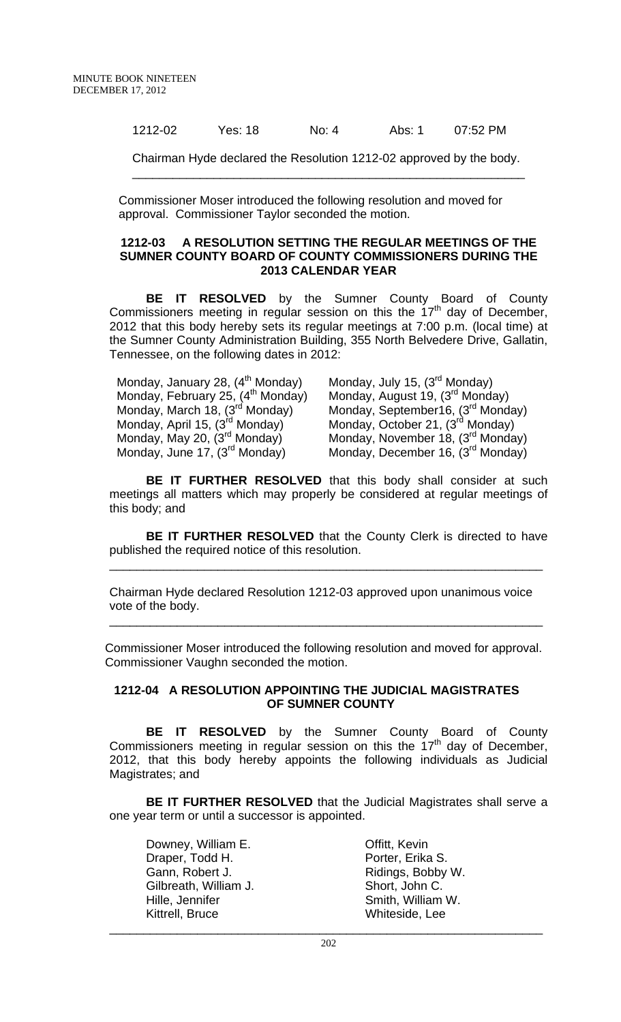1212-02 Yes: 18 No: 4 Abs: 1 07:52 PM

Chairman Hyde declared the Resolution 1212-02 approved by the body. \_\_\_\_\_\_\_\_\_\_\_\_\_\_\_\_\_\_\_\_\_\_\_\_\_\_\_\_\_\_\_\_\_\_\_\_\_\_\_\_\_\_\_\_\_\_\_\_\_\_\_\_\_\_\_\_\_\_

Commissioner Moser introduced the following resolution and moved for approval. Commissioner Taylor seconded the motion.

#### **1212-03 A RESOLUTION SETTING THE REGULAR MEETINGS OF THE SUMNER COUNTY BOARD OF COUNTY COMMISSIONERS DURING THE 2013 CALENDAR YEAR**

 **BE IT RESOLVED** by the Sumner County Board of County Commissioners meeting in regular session on this the  $17<sup>th</sup>$  day of December, 2012 that this body hereby sets its regular meetings at 7:00 p.m. (local time) at the Sumner County Administration Building, 355 North Belvedere Drive, Gallatin, Tennessee, on the following dates in 2012:

Monday, January 28,  $(4^{th}$  Monday) Monday, July 15,  $(3^{rd}$  Monday) Monday, February 25,  $(4^{\text{th}}$  Monday)<br>Monday, March 18,  $(3^{\text{rd}}$  Monday) Monday, April 15,  $(3^{rd}$  Monday) Monday, October 21,  $(3^{rd}$  Monday)<br>Monday, May 20,  $(3^{rd}$  Monday) Monday, November 18,  $(3^{rd}$  Monda

Monday, February 25, (4<sup>th</sup> Monday) Monday, August 19, (3<sup>rd</sup> Monday)<br>Monday, March 18, (3<sup>rd</sup> Monday) Monday, September16, (3<sup>rd</sup> Monday)<br>Monday, April 15, (3<sup>rd</sup> Monday) Monday, October 21, (3<sup>rd</sup> Monday) Monday, May 20, (3<sup>rd</sup> Monday) Monday, November 18, (3<sup>rd</sup> Monday)<br>Monday, June 17, (3<sup>rd</sup> Monday) Monday, December 16, (3<sup>rd</sup> Monday) Monday, December 16, (3rd Monday)

**BE IT FURTHER RESOLVED** that this body shall consider at such meetings all matters which may properly be considered at regular meetings of this body; and

**BE IT FURTHER RESOLVED** that the County Clerk is directed to have published the required notice of this resolution.

\_\_\_\_\_\_\_\_\_\_\_\_\_\_\_\_\_\_\_\_\_\_\_\_\_\_\_\_\_\_\_\_\_\_\_\_\_\_\_\_\_\_\_\_\_\_\_\_\_\_\_\_\_\_\_\_\_\_\_\_\_\_\_\_

Chairman Hyde declared Resolution 1212-03 approved upon unanimous voice vote of the body.

Commissioner Moser introduced the following resolution and moved for approval. Commissioner Vaughn seconded the motion.

\_\_\_\_\_\_\_\_\_\_\_\_\_\_\_\_\_\_\_\_\_\_\_\_\_\_\_\_\_\_\_\_\_\_\_\_\_\_\_\_\_\_\_\_\_\_\_\_\_\_\_\_\_\_\_\_\_\_\_\_\_\_\_\_

## **1212-04 A RESOLUTION APPOINTING THE JUDICIAL MAGISTRATES OF SUMNER COUNTY**

**BE IT RESOLVED** by the Sumner County Board of County Commissioners meeting in regular session on this the 17<sup>th</sup> day of December, 2012, that this body hereby appoints the following individuals as Judicial Magistrates; and

**BE IT FURTHER RESOLVED** that the Judicial Magistrates shall serve a one year term or until a successor is appointed.

Downey, William E. Communication Contract Contract Contract Contract Contract Contract Contract Contract Contract Contract Contract Contract Contract Contract Contract Contract Contract Contract Contract Contract Contract Draper, Todd H. Porter, Erika S. Gann, Robert J. **Ridings**, Bobby W. Gilbreath, William J. Short, John C. Hille, Jennifer **Smith, William W.** Kittrell, Bruce Whiteside, Lee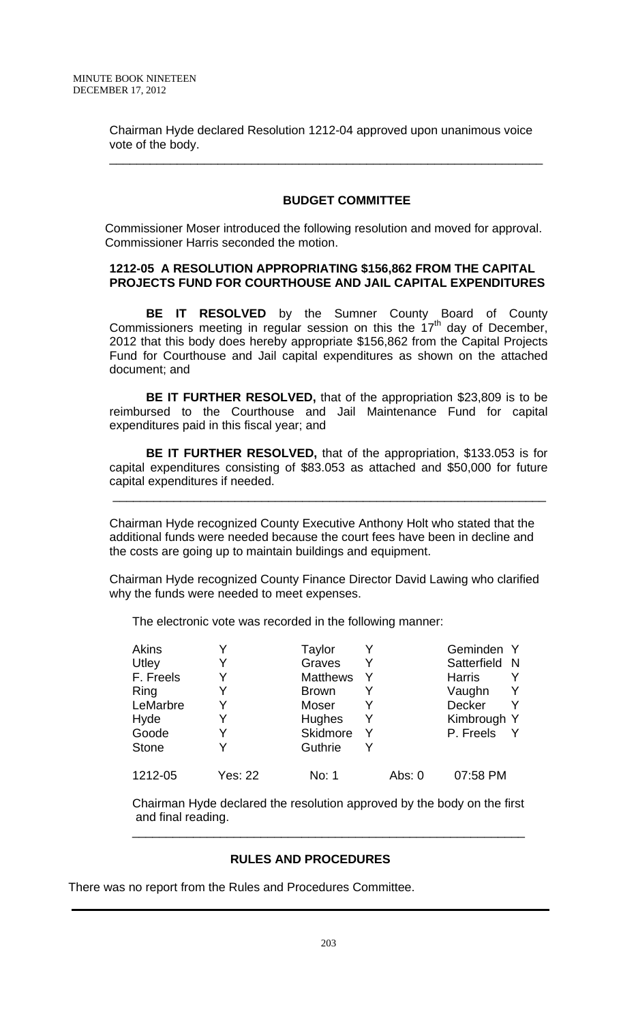Chairman Hyde declared Resolution 1212-04 approved upon unanimous voice vote of the body.

\_\_\_\_\_\_\_\_\_\_\_\_\_\_\_\_\_\_\_\_\_\_\_\_\_\_\_\_\_\_\_\_\_\_\_\_\_\_\_\_\_\_\_\_\_\_\_\_\_\_\_\_\_\_\_\_\_\_\_\_\_\_\_\_

# **BUDGET COMMITTEE**

Commissioner Moser introduced the following resolution and moved for approval. Commissioner Harris seconded the motion.

### **1212-05 A RESOLUTION APPROPRIATING \$156,862 FROM THE CAPITAL PROJECTS FUND FOR COURTHOUSE AND JAIL CAPITAL EXPENDITURES**

 **BE IT RESOLVED** by the Sumner County Board of County Commissioners meeting in regular session on this the  $17<sup>th</sup>$  day of December, 2012 that this body does hereby appropriate \$156,862 from the Capital Projects Fund for Courthouse and Jail capital expenditures as shown on the attached document; and

**BE IT FURTHER RESOLVED,** that of the appropriation \$23,809 is to be reimbursed to the Courthouse and Jail Maintenance Fund for capital expenditures paid in this fiscal year; and

**BE IT FURTHER RESOLVED,** that of the appropriation, \$133.053 is for capital expenditures consisting of \$83.053 as attached and \$50,000 for future capital expenditures if needed.

\_\_\_\_\_\_\_\_\_\_\_\_\_\_\_\_\_\_\_\_\_\_\_\_\_\_\_\_\_\_\_\_\_\_\_\_\_\_\_\_\_\_\_\_\_\_\_\_\_\_\_\_\_\_\_\_\_\_\_\_\_\_\_\_

Chairman Hyde recognized County Executive Anthony Holt who stated that the additional funds were needed because the court fees have been in decline and the costs are going up to maintain buildings and equipment.

Chairman Hyde recognized County Finance Director David Lawing who clarified why the funds were needed to meet expenses.

The electronic vote was recorded in the following manner:

| <b>Akins</b> |                | Taylor          |        | Geminden Y    |    |
|--------------|----------------|-----------------|--------|---------------|----|
| Utley        |                | Graves          |        | Satterfield   | -N |
| F. Freels    |                | <b>Matthews</b> |        | <b>Harris</b> |    |
| Ring         |                | <b>Brown</b>    |        | Vaughn        |    |
| LeMarbre     |                | Moser           |        | <b>Decker</b> |    |
| Hyde         |                | Hughes          |        | Kimbrough Y   |    |
| Goode        |                | Skidmore        |        | P. Freels     |    |
| <b>Stone</b> |                | Guthrie         |        |               |    |
| 1212-05      | <b>Yes: 22</b> | No: 1           | Abs: 0 | 07:58 PM      |    |

Chairman Hyde declared the resolution approved by the body on the first and final reading.

\_\_\_\_\_\_\_\_\_\_\_\_\_\_\_\_\_\_\_\_\_\_\_\_\_\_\_\_\_\_\_\_\_\_\_\_\_\_\_\_\_\_\_\_\_\_\_\_\_\_\_\_\_\_\_\_\_\_

### **RULES AND PROCEDURES**

There was no report from the Rules and Procedures Committee.